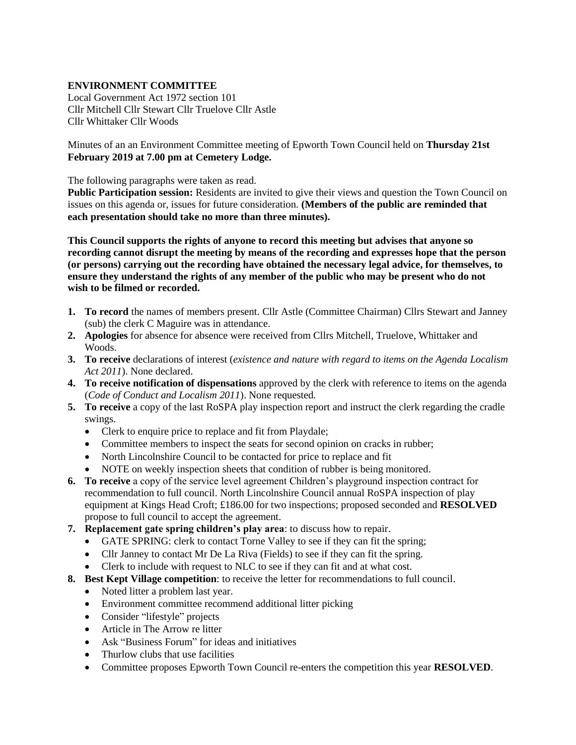## **ENVIRONMENT COMMITTEE**

Local Government Act 1972 section 101 Cllr Mitchell Cllr Stewart Cllr Truelove Cllr Astle Cllr Whittaker Cllr Woods

Minutes of an an Environment Committee meeting of Epworth Town Council held on **Thursday 21st February 2019 at 7.00 pm at Cemetery Lodge.** 

The following paragraphs were taken as read.

**Public Participation session:** Residents are invited to give their views and question the Town Council on issues on this agenda or, issues for future consideration. **(Members of the public are reminded that each presentation should take no more than three minutes).**

**This Council supports the rights of anyone to record this meeting but advises that anyone so recording cannot disrupt the meeting by means of the recording and expresses hope that the person (or persons) carrying out the recording have obtained the necessary legal advice, for themselves, to ensure they understand the rights of any member of the public who may be present who do not wish to be filmed or recorded.**

- **1. To record** the names of members present. Cllr Astle (Committee Chairman) Cllrs Stewart and Janney (sub) the clerk C Maguire was in attendance.
- **2. Apologies** for absence for absence were received from Cllrs Mitchell, Truelove, Whittaker and Woods.
- **3. To receive** declarations of interest (*existence and nature with regard to items on the Agenda Localism Act 2011*). None declared.
- **4. To receive notification of dispensations** approved by the clerk with reference to items on the agenda (*Code of Conduct and Localism 2011*). None requested.
- **5. To receive** a copy of the last RoSPA play inspection report and instruct the clerk regarding the cradle swings.
	- Clerk to enquire price to replace and fit from Playdale;
	- Committee members to inspect the seats for second opinion on cracks in rubber;
	- North Lincolnshire Council to be contacted for price to replace and fit
	- NOTE on weekly inspection sheets that condition of rubber is being monitored.
- **6. To receive** a copy of the service level agreement Children's playground inspection contract for recommendation to full council. North Lincolnshire Council annual RoSPA inspection of play equipment at Kings Head Croft; £186.00 for two inspections; proposed seconded and **RESOLVED** propose to full council to accept the agreement.
- **7. Replacement gate spring children's play area**: to discuss how to repair.
	- GATE SPRING: clerk to contact Torne Valley to see if they can fit the spring;
	- Cllr Janney to contact Mr De La Riva (Fields) to see if they can fit the spring.
	- Clerk to include with request to NLC to see if they can fit and at what cost.
- **8. Best Kept Village competition**: to receive the letter for recommendations to full council.
	- Noted litter a problem last year.
	- Environment committee recommend additional litter picking
	- Consider "lifestyle" projects
	- Article in The Arrow re litter
	- Ask "Business Forum" for ideas and initiatives
	- Thurlow clubs that use facilities
	- Committee proposes Epworth Town Council re-enters the competition this year **RESOLVED**.